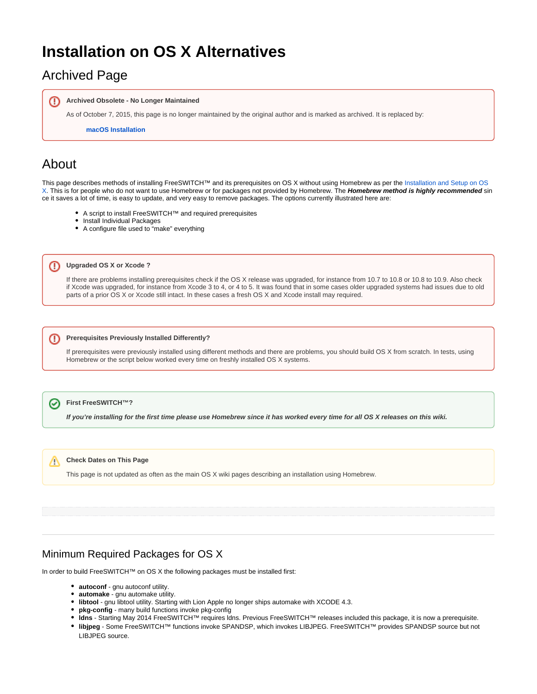# **Installation on OS X Alternatives**

## Archived Page

**Archived Obsolete - No Longer Maintained** M)

As of October 7, 2015, this page is no longer maintained by the original author and is marked as archived. It is replaced by:

**[macOS Installation](https://freeswitch.org/confluence/display/FREESWITCH/macOS+Installation)**

## About

⊕

⊕

This page describes methods of installing FreeSWITCH™ and its prerequisites on OS X without using Homebrew as per the Installation and Setup on OS [X](https://freeswitch.org/confluence/display/FREESWITCH/Installation+and+Setup+on+OS+X). This is for people who do not want to use Homebrew or for packages not provided by Homebrew. The **Homebrew method is highly recommended** sin ce it saves a lot of time, is easy to update, and very easy to remove packages. The options currently illustrated here are:

- A script to install FreeSWITCH™ and required prerequisites
- Install Individual Packages
- A configure file used to "make" everything
- **Upgraded OS X or Xcode ?**

If there are problems installing prerequisites check if the OS X release was upgraded, for instance from 10.7 to 10.8 or 10.8 to 10.9. Also check if Xcode was upgraded, for instance from Xcode 3 to 4, or 4 to 5. It was found that in some cases older upgraded systems had issues due to old parts of a prior OS X or Xcode still intact. In these cases a fresh OS X and Xcode install may required.

#### **Prerequisites Previously Installed Differently?**

If prerequisites were previously installed using different methods and there are problems, you should build OS X from scratch. In tests, using Homebrew or the script below worked every time on freshly installed OS X systems.

#### の **First FreeSWITCH™?**

**If you're installing for the first time please use Homebrew since it has worked every time for all OS X releases on this wiki.**

#### **Check Dates on This Page** Λ

This page is not updated as often as the main OS X wiki pages describing an installation using Homebrew.

### Minimum Required Packages for OS X

In order to build FreeSWITCH™ on OS X the following packages must be installed first:

- **autoconf** gnu autoconf utility.
- **automake** gnu automake utility.
- **libtool** gnu libtool utility. Starting with Lion Apple no longer ships automake with XCODE 4.3.
- **pkg-config** many build functions invoke pkg-config
- **ldns** Starting May 2014 FreeSWITCH™ requires ldns. Previous FreeSWITCH™ releases included this package, it is now a prerequisite.
- **libjpeg** Some FreeSWITCH™ functions invoke SPANDSP, which invokes LIBJPEG. FreeSWITCH™ provides SPANDSP source but not LIBJPEG source.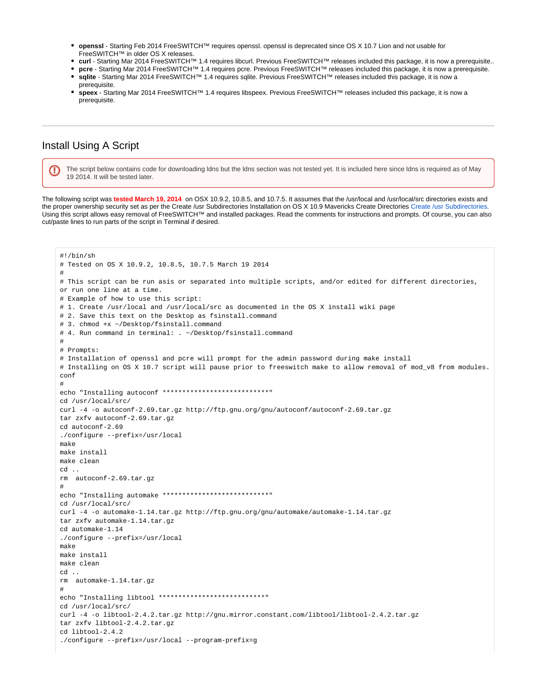- **openssl** Starting Feb 2014 FreeSWITCH™ requires openssl. openssl is deprecated since OS X 10.7 Lion and not usable for FreeSWITCH™ in older OS X releases.
- **curl** Starting Mar 2014 FreeSWITCH™ 1.4 requires libcurl. Previous FreeSWITCH™ releases included this package, it is now a prerequisite..
- **pcre** Starting Mar 2014 FreeSWITCH™ 1.4 requires pcre. Previous FreeSWITCH™ releases included this package, it is now a prerequisite.
- **sqlite** Starting Mar 2014 FreeSWITCH™ 1.4 requires sqlite. Previous FreeSWITCH™ releases included this package, it is now a
- prerequisite.
- **speex** Starting Mar 2014 FreeSWITCH™ 1.4 requires libspeex. Previous FreeSWITCH™ releases included this package, it is now a prerequisite.

### Install Using A Script

ω

The script below contains code for downloading ldns but the ldns section was not tested yet. It is included here since ldns is required as of May 19 2014. It will be tested later.

The following script was **tested March 19, 2014** on OSX 10.9.2, 10.8.5, and 10.7.5. It assumes that the /usr/local and /usr/local/src directories exists and the proper ownership security set as per the Create /usr Subdirectories Installation on OS X 10.9 Mavericks Create Directories [Create /usr Subdirectories.](https://freeswitch.org/confluence/display/FREESWITCH/Installation+on+OS+X+10.9+Mavericks#InstallationonOSX10.9Mavericks-Create/usrSubdirectories) Using this script allows easy removal of FreeSWITCH™ and installed packages. Read the comments for instructions and prompts. Of course, you can also cut/paste lines to run parts of the script in Terminal if desired.

```
#!/bin/sh
# Tested on OS X 10.9.2, 10.8.5, 10.7.5 March 19 2014
#
# This script can be run asis or separated into multiple scripts, and/or edited for different directories, 
or run one line at a time.
# Example of how to use this script:
# 1. Create /usr/local and /usr/local/src as documented in the OS X install wiki page
# 2. Save this text on the Desktop as fsinstall.command
# 3. chmod +x ~/Desktop/fsinstall.command
# 4. Run command in terminal: . ~/Desktop/fsinstall.command
#
# Prompts:
# Installation of openssl and pcre will prompt for the admin password during make install
# Installing on OS X 10.7 script will pause prior to freeswitch make to allow removal of mod_v8 from modules.
conf
#
echo "Installing autoconf *****************************
cd /usr/local/src/
curl -4 -o autoconf-2.69.tar.gz http://ftp.gnu.org/gnu/autoconf/autoconf-2.69.tar.gz
tar zxfv autoconf-2.69.tar.gz
cd autoconf-2.69
./configure --prefix=/usr/local
make
make install
make clean
cd ..
rm autoconf-2.69.tar.gz
#
echo "Installing automake *****************************
cd /usr/local/src/
curl -4 -o automake-1.14.tar.gz http://ftp.gnu.org/gnu/automake/automake-1.14.tar.gz
tar zxfv automake-1.14.tar.gz
cd automake-1.14
./configure --prefix=/usr/local
make
make install
make clean
cd ..
rm automake-1.14.tar.gz
#
echo "Installing libtool ***************************"
cd /usr/local/src/
curl -4 -o libtool-2.4.2.tar.gz http://gnu.mirror.constant.com/libtool/libtool-2.4.2.tar.gz
tar zxfv libtool-2.4.2.tar.gz
cd libtool-2.4.2
./configure --prefix=/usr/local --program-prefix=g
```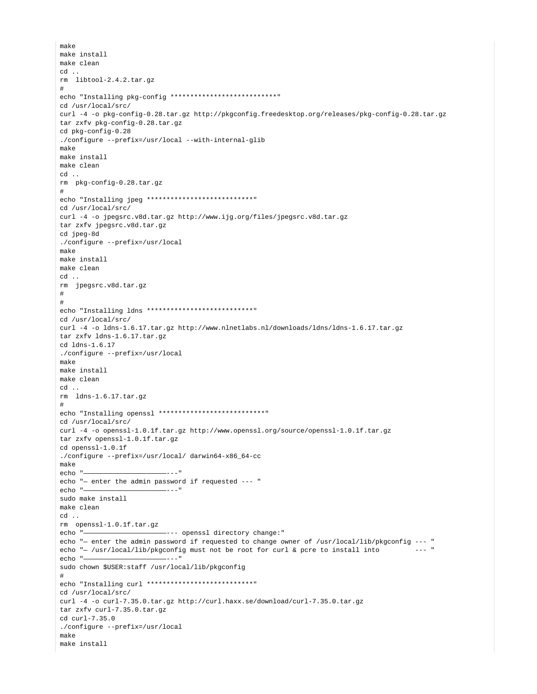```
make
make install
make clean
cd ..
rm libtool-2.4.2.tar.gz
#
echo "Installing pkg-config *****************************
cd /usr/local/src/
curl -4 -o pkg-config-0.28.tar.gz http://pkgconfig.freedesktop.org/releases/pkg-config-0.28.tar.gz
tar zxfv pkg-config-0.28.tar.gz
cd pkg-config-0.28
./configure --prefix=/usr/local --with-internal-glib
make
make install
make clean
cd ..
rm pkg-config-0.28.tar.gz
#
echo "Installing jpeg ***************************"
cd /usr/local/src/
curl -4 -o jpegsrc.v8d.tar.gz http://www.ijg.org/files/jpegsrc.v8d.tar.gz
tar zxfv jpegsrc.v8d.tar.gz
cd jpeg-8d
./configure --prefix=/usr/local
make
make install
make clean
cd ..
rm jpegsrc.v8d.tar.gz
#
#
echo "Installing ldns ***************************"
cd /usr/local/src/
curl -4 -o ldns-1.6.17.tar.gz http://www.nlnetlabs.nl/downloads/ldns/ldns-1.6.17.tar.gz
tar zxfv ldns-1.6.17.tar.gz
cd ldns-1.6.17
./configure --prefix=/usr/local
make
make install
make clean
cd ..
rm ldns-1.6.17.tar.gz
#
echo "Installing openssl ***************************"
cd /usr/local/src/
curl -4 -o openssl-1.0.1f.tar.gz http://www.openssl.org/source/openssl-1.0.1f.tar.gz
tar zxfv openssl-1.0.1f.tar.gz
cd openssl-1.0.1f
./configure --prefix=/usr/local/ darwin64-x86_64-cc
make
echo "-
echo "— enter the admin password if requested --- "
echo "—————————————————————---"
sudo make install
make clean
cd ..
rm openssl-1.0.1f.tar.gz
echo "—————————————————————--- openssl directory change:"
echo "— enter the admin password if requested to change owner of /usr/local/lib/pkgconfig --- "
echo "- /usr/local/lib/pkgconfig must not be root for curl & pcre to install into
echo "—————————————————————---"
sudo chown $USER:staff /usr/local/lib/pkgconfig
#
echo "Installing curl *****************************
cd /usr/local/src/
curl -4 -o curl-7.35.0.tar.gz http://curl.haxx.se/download/curl-7.35.0.tar.gz
tar zxfv curl-7.35.0.tar.gz
cd curl-7.35.0
./configure --prefix=/usr/local
make
make install
```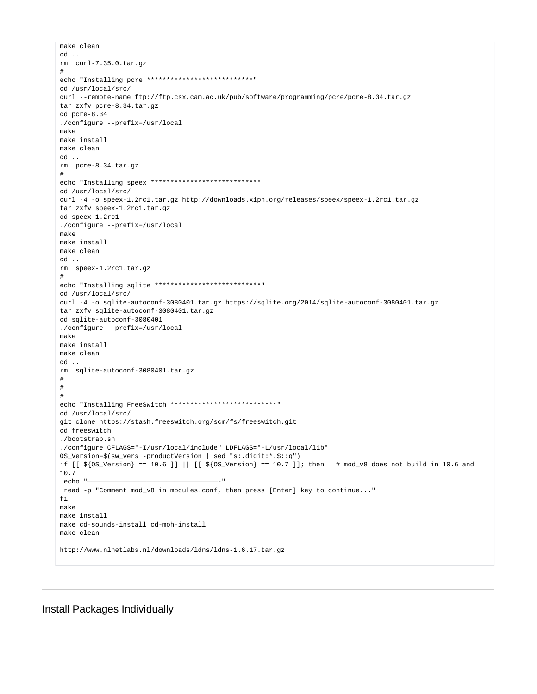```
make clean
cd ..
rm curl-7.35.0.tar.gz
#
echo "Installing pcre ***************************"
cd /usr/local/src/
curl --remote-name ftp://ftp.csx.cam.ac.uk/pub/software/programming/pcre/pcre-8.34.tar.gz
tar zxfv pcre-8.34.tar.gz
cd pcre-8.34
./configure --prefix=/usr/local
make
make install
make clean
cd ..
rm pcre-8.34.tar.gz
#
echo "Installing speex ***************************"
cd /usr/local/src/
curl -4 -o speex-1.2rc1.tar.qz http://downloads.xiph.org/releases/speex/speex-1.2rc1.tar.qz
tar zxfv speex-1.2rc1.tar.gz
cd speex-1.2rc1
./configure --prefix=/usr/local
make
make install
make clean
cd ..
rm speex-1.2rc1.tar.gz
#
echo "Installing sqlite ***************************"
cd /usr/local/src/
curl -4 -o sqlite-autoconf-3080401.tar.gz https://sqlite.org/2014/sqlite-autoconf-3080401.tar.gz
tar zxfv sqlite-autoconf-3080401.tar.gz
cd sqlite-autoconf-3080401
./configure --prefix=/usr/local
make
make install
make clean
cd ..
rm sqlite-autoconf-3080401.tar.gz
#
#
#
echo "Installing FreeSwitch *****************************
cd /usr/local/src/
git clone https://stash.freeswitch.org/scm/fs/freeswitch.git
cd freeswitch
./bootstrap.sh
./configure CFLAGS="-I/usr/local/include" LDFLAGS="-L/usr/local/lib" 
OS_Version=$(sw_vers -productVersion | sed "s:.digit:*.$::g")
if [ \frac{1}{2} \frac{1}{2} \frac{1}{2} \frac{1}{2} \frac{1}{2} \frac{1}{2} \frac{1}{2} \frac{1}{2} \frac{1}{2} \frac{1}{2} \frac{1}{2} \frac{1}{2} \frac{1}{2} \frac{1}{2} \frac{1}{2} \frac{1}{2} \frac{1}{2} \frac{1}{2} \frac{1}{2} \frac{1}{2} \frac{1}{2} \frac{10.7
echo read -p "Comment mod_v8 in modules.conf, then press [Enter] key to continue..."
f_imake
make install
make cd-sounds-install cd-moh-install
make clean
http://www.nlnetlabs.nl/downloads/ldns/ldns-1.6.17.tar.gz
```
Install Packages Individually